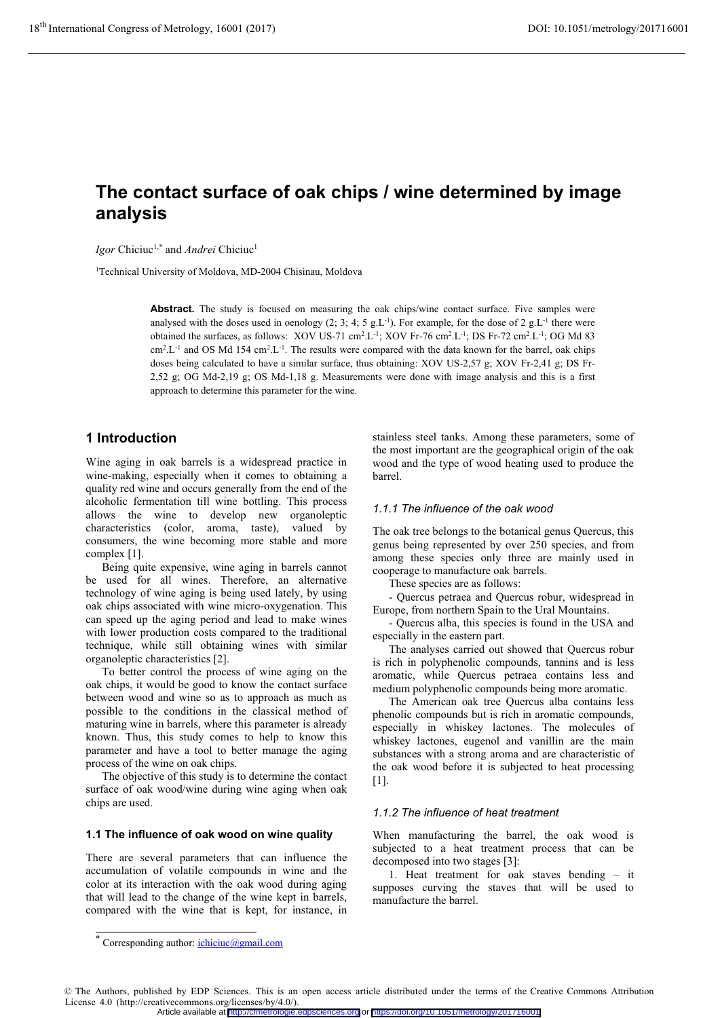# The contact surface of oak chips / wine determined by image

Igor Chiciuc<sup>1,\*</sup> and *Andrei* Chiciuc<sup>1</sup>

<sup>1</sup>Technical University of Moldova, MD-2004 Chisinau, Moldova

Abstract. The study is focused on measuring the oak chips/wine contact surface. Five samples were analysed with the doses used in oenology (2; 3; 4; 5 g.L<sup>-1</sup>). For example, for the dose of 2 g.L<sup>-1</sup> there were obtained the surfaces, as follows: XOV US-71 cm<sup>2</sup>.L<sup>-1</sup>; XOV Fr-76 cm<sup>2</sup>.L<sup>-1</sup>; DS Fr-72 cm<sup>2</sup>.L<sup>-1</sup>; OG Md 83  $\text{cm}^2$ .L<sup>-1</sup> and OS Md 154  $\text{cm}^2$ .L<sup>-1</sup>. The results were compared with the data known for the barrel, oak chips doses being calculated to have a similar surface, thus obtaining: XOV US-2,57 g; XOV Fr-2,41 g; DS Fr- $2,52$  g; OG Md-2,19 g; OS Md-1,18 g. Measurements were done with image analysis and this is a first approach to determine this parameter for the wine.

# 1 Introduction

Wine aging in oak barrels is a widespread practice in wine-making, especially when it comes to obtaining a quality red wine and occurs generally from the end of the alcoholic fermentation till wine bottling. This process allows the wine to develop new organoleptic characteristics (color, aroma, taste), valued by consumers, the wine becoming more stable and more complex [1].

Being quite expensive, wine aging in barrels cannot be used for all wines. Therefore, an alternative technology of wine aging is being used lately, by using oak chips associated with wine micro-oxygenation. This can speed up the aging period and lead to make wines with lower production costs compared to the traditional technique, while still obtaining wines with similar organoleptic characteristics [2].

To better control the process of wine aging on the oak chips, it would be good to know the contact surface between wood and wine so as to approach as much as possible to the conditions in the classical method of maturing wine in barrels, where this parameter is already known. Thus, this study comes to help to know this parameter and have a tool to better manage the aging process of the wine on oak chips.

The objective of this study is to determine the contact surface of oak wood/wine during wine aging when oak chips are used.

#### 1.1 The influence of oak wood on wine quality

There are several parameters that can influence the accumulation of volatile compounds in wine and the color at its interaction with the oak wood during aging that will lead to the change of the wine kept in barrels, compared with the wine that is kept, for instance, in

stainless steel tanks. Among these parameters, some of the most important are the geographical origin of the oak wood and the type of wood heating used to produce the harrel.

#### *1.1.1 The influence of the oak wood*

The oak tree belongs to the botanical genus Quercus, this genus being represented by over 250 species, and from among these species only three are mainly used in cooperage to manufacture oak barrels.

These species are as follows:

- Quercus petraea and Quercus robur, widespread in Europe, from northern Spain to the Ural Mountains.

- Quercus alba, this species is found in the USA and especially in the eastern part.

The analyses carried out showed that Quercus robur is rich in polyphenolic compounds, tannins and is less aromatic, while Quercus petraea contains less and medium polyphenolic compounds being more aromatic.

The American oak tree Quercus alba contains less phenolic compounds but is rich in aromatic compounds, especially in whiskey lactones. The molecules of whiskey lactones, eugenol and vanillin are the main substances with a strong aroma and are characteristic of the oak wood before it is subjected to heat processing  $[1]$ .

### *1.1.2 The influence of heat treatment*

When manufacturing the barrel, the oak wood is subjected to a heat treatment process that can be decomposed into two stages [3]:

1. Heat treatment for oak staves bending - it supposes curving the staves that will be used to manufacture the barrel.

Article available at <http://cfmetrologie.edpsciences.org> or <https://doi.org/10.1051/metrology/201716001>

<sup>\*</sup> Corresponding author: *ichiciuc@gmail.com* 

<sup>©</sup> The Authors, published by EDP Sciences. This is an open access article distributed under the terms of the Creative Commons Attribution License 4.0 (http://creativecommons.org/licenses/by/4.0/).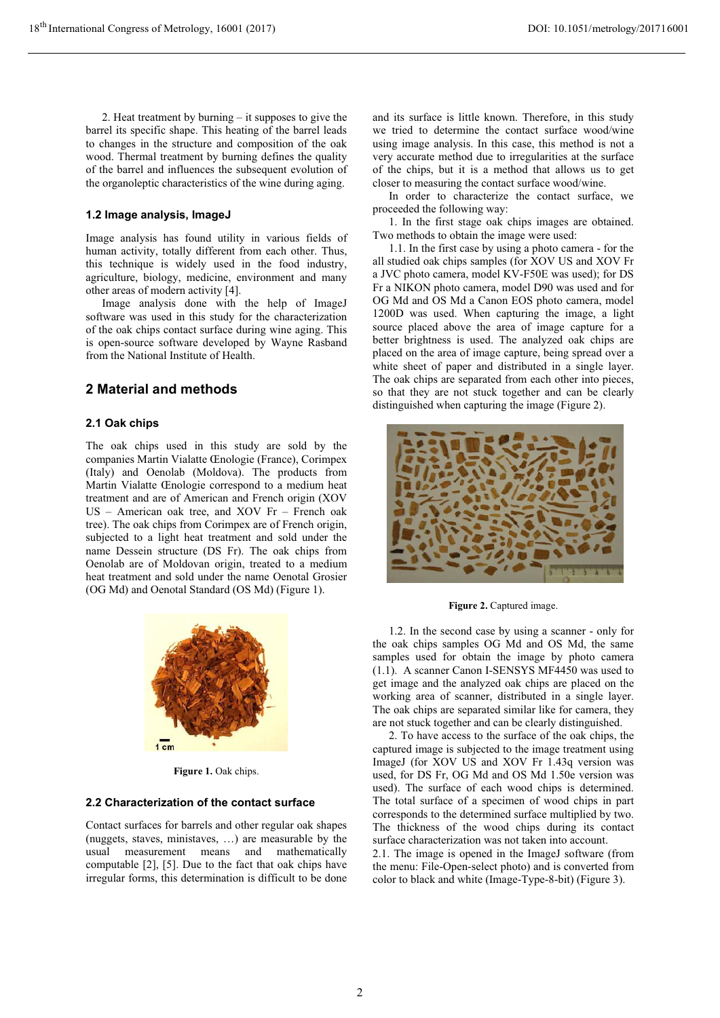2. Heat treatment by burning  $-$  it supposes to give the barrel its specific shape. This heating of the barrel leads to changes in the structure and composition of the oak wood. Thermal treatment by burning defines the quality of the barrel and influences the subsequent evolution of the organoleptic characteristics of the wine during aging.

#### 1.2 Image analysis, ImageJ

Image analysis has found utility in various fields of human activity, totally different from each other. Thus, this technique is widely used in the food industry, agriculture, biology, medicine, environment and many other areas of modern activity [4].

Image analysis done with the help of ImageJ software was used in this study for the characterization of the oak chips contact surface during wine aging. This is open-source software developed by Wayne Rasband from the National Institute of Health.

## 2 Material and methods

#### 2.1 Oak chips

The oak chips used in this study are sold by the companies Martin Vialatte Chologie (France), Corimpex (Italy) and Oenolab (Moldova). The products from Martin Vialatte Chologie correspond to a medium heat treatment and are of American and French origin (XOV  $US$  – American oak tree, and XOV Fr – French oak tree). The oak chips from Corimpex are of French origin, subjected to a light heat treatment and sold under the name Dessein structure (DS Fr). The oak chips from Oenolab are of Moldovan origin, treated to a medium heat treatment and sold under the name Oenotal Grosier (OG Md) and Oenotal Standard (OS Md) (Figure 1).



Figure 1. Oak chips.

### 2.2 Characterization of the contact surface

Contact surfaces for barrels and other regular oak shapes (nuggets, staves, ministaves, ...) are measurable by the usual measurement means and mathematically computable [2], [5]. Due to the fact that oak chips have irregular forms, this determination is difficult to be done and its surface is little known. Therefore, in this study we tried to determine the contact surface wood/wine using image analysis. In this case, this method is not a very accurate method due to irregularities at the surface of the chips, but it is a method that allows us to get closer to measuring the contact surface wood/wine.

In order to characterize the contact surface, we proceeded the following way:

1. In the first stage oak chips images are obtained. Two methods to obtain the image were used:

1.1. In the first case by using a photo camera - for the all studied oak chips samples (for XOV US and XOV Fr a JVC photo camera, model KV-F50E was used); for DS Fr a NIKON photo camera, model D90 was used and for OG Md and OS Md a Canon EOS photo camera, model 1200D was used. When capturing the image, a light source placed above the area of image capture for a better brightness is used. The analyzed oak chips are placed on the area of image capture, being spread over a white sheet of paper and distributed in a single layer. The oak chips are separated from each other into pieces, so that they are not stuck together and can be clearly distinguished when capturing the image (Figure 2).



Figure 2. Captured image.

1.2. In the second case by using a scanner - only for the oak chips samples OG Md and OS Md, the same samples used for obtain the image by photo camera  $(1.1)$ . A scanner Canon I-SENSYS MF4450 was used to get image and the analyzed oak chips are placed on the working area of scanner, distributed in a single laver. The oak chips are separated similar like for camera, they are not stuck together and can be clearly distinguished.

2. To have access to the surface of the oak chips, the captured image is subjected to the image treatment using ImageJ (for XOV US and XOV Fr 1.43q version was used, for DS Fr, OG Md and OS Md 1.50e version was used). The surface of each wood chips is determined. The total surface of a specimen of wood chips in part corresponds to the determined surface multiplied by two. The thickness of the wood chips during its contact surface characterization was not taken into account.

2.1. The image is opened in the ImageJ software (from the menu: File-Open-select photo) and is converted from color to black and white (Image-Type-8-bit) (Figure 3).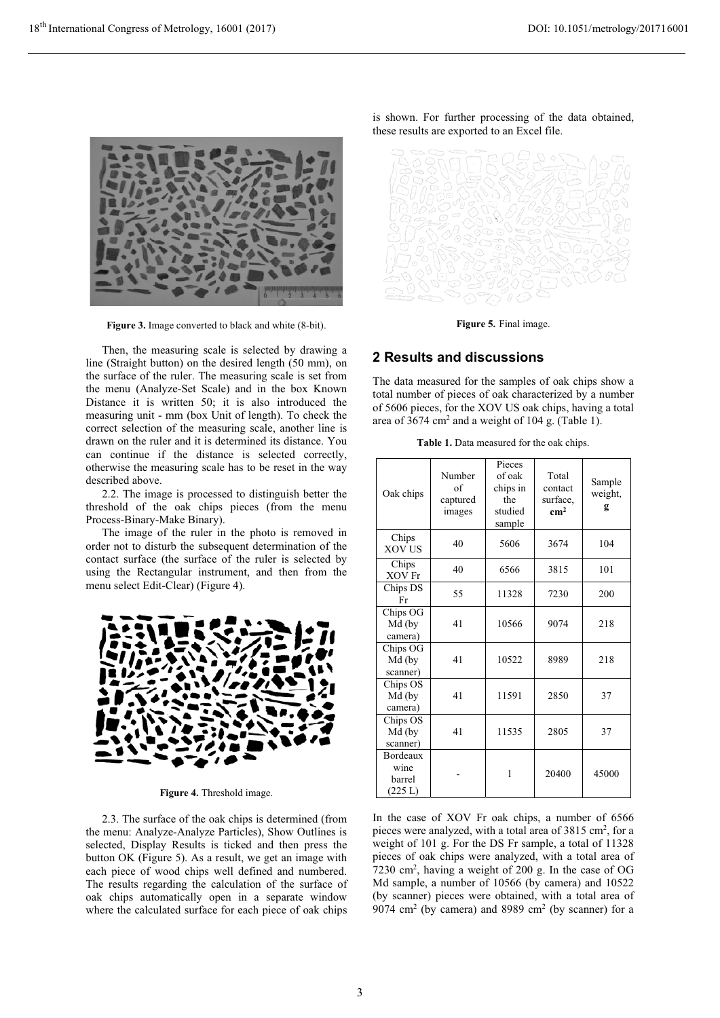

Figure 3. Image converted to black and white (8-bit).

Then, the measuring scale is selected by drawing a line (Straight button) on the desired length (50 mm), on the surface of the ruler. The measuring scale is set from the menu (Analyze-Set Scale) and in the box Known Distance it is written 50; it is also introduced the measuring unit - mm (box Unit of length). To check the correct selection of the measuring scale, another line is drawn on the ruler and it is determined its distance. You can continue if the distance is selected correctly, otherwise the measuring scale has to be reset in the way described above.

2.2. The image is processed to distinguish better the threshold of the oak chips pieces (from the menu Process-Binary-Make Binary).

The image of the ruler in the photo is removed in order not to disturb the subsequent determination of the contact surface (the surface of the ruler is selected by using the Rectangular instrument, and then from the menu select Edit-Clear) (Figure 4).



Figure 4. Threshold image.

2.3. The surface of the oak chips is determined (from the menu: Analyze-Analyze Particles), Show Outlines is selected. Display Results is ticked and then press the button OK (Figure 5). As a result, we get an image with each piece of wood chips well defined and numbered. The results regarding the calculation of the surface of oak chips automatically open in a separate window where the calculated surface for each piece of oak chips is shown. For further processing of the data obtained, these results are exported to an Excel file.



Figure 5. Final image.

# 2 Results and discussions

The data measured for the samples of oak chips show a total number of pieces of oak characterized by a number of 5606 pieces, for the XOV US oak chips, having a total area of  $3674 \text{ cm}^2$  and a weight of 104 g. (Table 1).

|  | Table 1. Data measured for the oak chips. |
|--|-------------------------------------------|
|--|-------------------------------------------|

| Oak chips                             | Number<br>of<br>captured<br>images | Pieces<br>of oak<br>chips in<br>the<br>studied<br>sample | Total<br>contact<br>surface,<br>cm <sup>2</sup> | Sample<br>weight,<br>g |
|---------------------------------------|------------------------------------|----------------------------------------------------------|-------------------------------------------------|------------------------|
| Chips<br>XOV US                       | 40                                 | 5606                                                     | 3674                                            | 104                    |
| Chips<br>XOV Fr                       | 40                                 | 6566                                                     | 3815                                            | 101                    |
| Chips DS<br>Fr                        | 55                                 | 11328                                                    | 7230                                            | 200                    |
| Chips OG<br>Md (by<br>camera)         | 41                                 | 10566                                                    | 9074                                            | 218                    |
| Chips OG<br>Md (by<br>scanner)        | 41                                 | 10522                                                    | 8989                                            | 218                    |
| Chips OS<br>Md (by<br>camera)         | 41                                 | 11591                                                    | 2850                                            | 37                     |
| Chips OS<br>Md (by<br>scanner)        | 41                                 | 11535                                                    | 2805                                            | 37                     |
| Bordeaux<br>wine<br>barrel<br>(225 L) |                                    | 1                                                        | 20400                                           | 45000                  |

In the case of XOV Fr oak chips, a number of 6566 pieces were analyzed, with a total area of 3815 cm<sup>2</sup>, for a weight of 101 g. For the DS Fr sample, a total of 11328 pieces of oak chips were analyzed, with a total area of 7230 cm<sup>2</sup>, having a weight of 200 g. In the case of OG Md sample, a number of 10566 (by camera) and 10522 (by scanner) pieces were obtained, with a total area of 9074 cm<sup>2</sup> (by camera) and 8989 cm<sup>2</sup> (by scanner) for a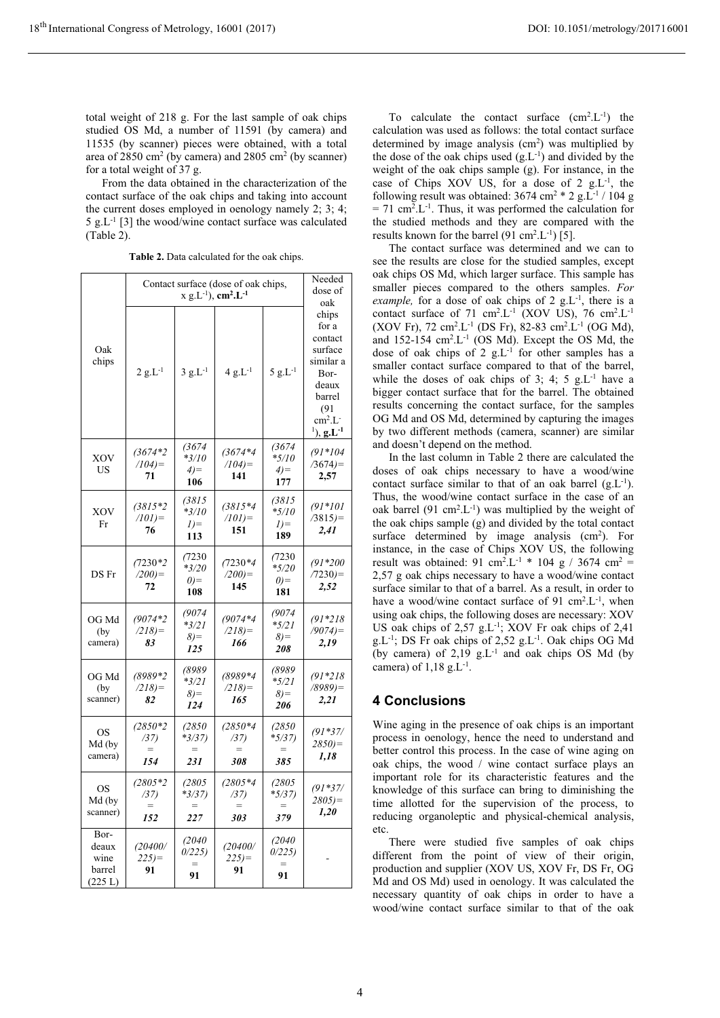From the data obtained in the characterization of the contact surface of the oak chips and taking into account the current doses employed in oenology namely 2; 3; 4; 5  $g.L^{-1}$  [3] the wood/wine contact surface was calculated  $(Table 2).$ 

|  | Table 2. Data calculated for the oak chips. |  |  |
|--|---------------------------------------------|--|--|
|  |                                             |  |  |

|                                            | Contact surface (dose of oak chips,<br>$x$ g.L <sup>-1</sup> ), cm <sup>2</sup> .L <sup>-1</sup> |                                      |                                  |                                             | Needed<br>dose of<br>oak                                                                                                       |
|--------------------------------------------|--------------------------------------------------------------------------------------------------|--------------------------------------|----------------------------------|---------------------------------------------|--------------------------------------------------------------------------------------------------------------------------------|
| Oak<br>chips                               | $2 g.L^{-1}$                                                                                     | $3 g.L^{-1}$                         | $4 g.L^{-1}$                     | $5 g.L^{-1}$                                | chips<br>for a<br>contact<br>surface<br>similar a<br>Bor-<br>deaux<br>barrel<br>(91)<br>$cm2.L-$<br>$^{1}),$ g.L <sup>-1</sup> |
| XOV<br>US                                  | $(3674*2$<br>$(104)$ =<br>71                                                                     | (3674)<br>$*3/10$<br>$4) =$<br>106   | $(3674*4$<br>$(104)$ =<br>141    | (3674)<br>$*_{5/10}$<br>$4) =$<br>177       | $(91*104$<br>$/3674=$<br>2,57                                                                                                  |
| XOV<br>Fr                                  | $(3815*2)$<br>$(101)$ =<br>76                                                                    | (3815<br>$*3/10$<br>$I) =$<br>113    | $(3815*4)$<br>$(101) =$<br>151   | (3815<br>*5/10<br>$I$ ) =<br>189            | $(91*101$<br>$/3815=$<br>2,41                                                                                                  |
| DS Fr                                      | $(7230*2)$<br>$(200)$ =<br>72                                                                    | (7230<br>$*3/20$<br>$(0)=$<br>108    | $(7230*4)$<br>$(200)$ =<br>145   | (7230)<br>$*_{5/20}$<br>$(0) =$<br>181      | $(91*200$<br>$(7230)$ =<br>2,52                                                                                                |
| OG Md<br>(by)<br>camera)                   | $(9074*2$<br>(218)<br>83                                                                         | (9074)<br>*3/21<br>$8) =$<br>125     | $(9074*4$<br>(218)<br>166        | (9074)<br>$*_{5/21}$<br>$\delta$ ) =<br>208 | $(91*218$<br>$/9074=$<br>2,19                                                                                                  |
| OG Md<br>(by)<br>scanner)                  | $(8989*2$<br>(218)<br>82                                                                         | (8989<br>*3/21<br>$\delta$ )=<br>124 | (8989*4<br>(218)<br>165          | (8989<br>*5/21<br>$\delta$ ) =<br>206       | $(91*218$<br>$(8989)$ =<br>2,21                                                                                                |
| <b>OS</b><br>Md (by<br>camera)             | $(2850*2)$<br>(37)<br>$=$<br>154                                                                 | (2850<br>*3/37)<br>$=$<br>231        | $(2850*4)$<br>(37)<br>$=$<br>308 | (2850<br>*5/37)<br>385                      | $(91*37/$<br>$2850 =$<br>1,18                                                                                                  |
| <b>OS</b><br>Md (by<br>scanner)            | $(2805*2)$<br>(37)<br>152                                                                        | (2805<br>$*3/37)$<br>227             | $(2805*4)$<br>(37)<br>303        | (2805<br>$*5/37)$<br>379                    | $(91*37/$<br>$2805 =$<br>1,20                                                                                                  |
| Bor-<br>deaux<br>wine<br>barrel<br>(225 L) | (20400/<br>$225 =$<br>91                                                                         | (2040<br>0/225<br>91                 | (20400/<br>$225 =$<br>91         | (2040<br>0/225<br>91                        |                                                                                                                                |

To calculate the contact surface  $(cm^2.L^{-1})$  the calculation was used as follows: the total contact surface determined by image analysis  $(cm<sup>2</sup>)$  was multiplied by the dose of the oak chips used  $(g.L^{-1})$  and divided by the weight of the oak chips sample  $(g)$ . For instance, in the case of Chips XOV US, for a dose of 2  $g.L^{-1}$ , the following result was obtained:  $3674 \text{ cm}^2 \cdot 2 \text{ g.L}^{-1} / 104 \text{ g}$  $= 71$  cm<sup>2</sup>.L<sup>-1</sup>. Thus, it was performed the calculation for the studied methods and they are compared with the results known for the barrel  $(91 \text{ cm}^2 \text{.}L^{-1})$  [5].

The contact surface was determined and we can to see the results are close for the studied samples, except oak chips OS Md, which larger surface. This sample has smaller pieces compared to the others samples. For *example,* for a dose of oak chips of 2  $g.L^{-1}$ , there is a contact surface of 71 cm<sup>2</sup>.L<sup>-1</sup> (XOV US), 76 cm<sup>2</sup>.L<sup>-1</sup> (XOV Fr), 72 cm<sup>2</sup>.L<sup>-1</sup> (DS Fr), 82-83 cm<sup>2</sup>.L<sup>-1</sup> (OG Md), and  $152-154$  cm<sup>2</sup>.L<sup>-1</sup> (OS Md). Except the OS Md, the dose of oak chips of 2  $g.L^{-1}$  for other samples has a smaller contact surface compared to that of the barrel, while the doses of oak chips of 3; 4; 5  $g.L^{-1}$  have a bigger contact surface that for the barrel. The obtained results concerning the contact surface, for the samples OG Md and OS Md, determined by capturing the images by two different methods (camera, scanner) are similar and doesn't depend on the method.

In the last column in Table 2 there are calculated the doses of oak chips necessary to have a wood/wine contact surface similar to that of an oak barrel  $(g.L^{-1})$ . Thus, the wood/wine contact surface in the case of an oak barrel (91 cm<sup>2</sup>.L<sup>-1</sup>) was multiplied by the weight of the oak chips sample (g) and divided by the total contact surface determined by image analysis  $(cm<sup>2</sup>)$ . For instance, in the case of Chips XOV US, the following result was obtained: 91 cm<sup>2</sup>.L<sup>-1</sup> \* 104 g / 3674 cm<sup>2</sup> = 2,57 g oak chips necessary to have a wood/wine contact surface similar to that of a barrel. As a result, in order to have a wood/wine contact surface of 91  $\text{cm}^2$ . L<sup>-1</sup>, when using oak chips, the following doses are necessary: XOV US oak chips of  $2,57$  g.L<sup>-1</sup>; XOV Fr oak chips of  $2,41$  $g.L^{-1}$ ; DS Fr oak chips of 2,52  $g.L^{-1}$ . Oak chips OG Md (by camera) of  $2,19 \text{ g.L}^{-1}$  and oak chips OS Md (by camera) of  $1,18 \text{ g.L}^{-1}$ .

## **4 Conclusions**

Wine aging in the presence of oak chips is an important process in oenology, hence the need to understand and better control this process. In the case of wine aging on oak chips, the wood / wine contact surface plays an important role for its characteristic features and the knowledge of this surface can bring to diminishing the time allotted for the supervision of the process, to reducing organoleptic and physical-chemical analysis, etc.

There were studied five samples of oak chips different from the point of view of their origin, production and supplier (XOV US, XOV Fr, DS Fr, OG Md and OS Md) used in oenology. It was calculated the necessary quantity of oak chips in order to have a wood/wine contact surface similar to that of the oak